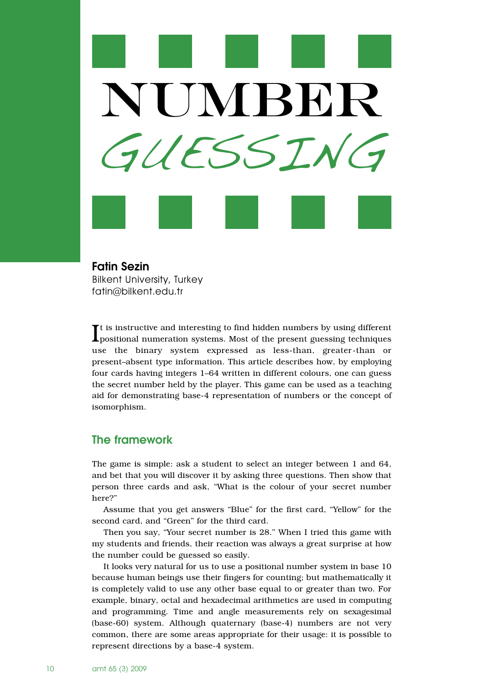

**Fatin Sezin** Bilkent University, Turkey fatin@bilkent.edu.tr

 $\prod$ t is instructive and interesting to find hidden numbers by using different positional numeration systems. Most of the present guessing techniques It is instructive and interesting to find hidden numbers by using different use the binary system expressed as less-than, greater-than or present–absent type information. This article describes how, by employing four cards having integers 1–64 written in different colours, one can guess the secret number held by the player. This game can be used as a teaching aid for demonstrating base-4 representation of numbers or the concept of isomorphism.

# **The framework**

The game is simple: ask a student to select an integer between 1 and 64, and bet that you will discover it by asking three questions. Then show that person three cards and ask, "What is the colour of your secret number here?"

Assume that you get answers "Blue" for the first card, "Yellow" for the second card, and "Green" for the third card.

Then you say, "Your secret number is 28." When I tried this game with my students and friends, their reaction was always a great surprise at how the number could be guessed so easily.

It looks very natural for us to use a positional number system in base 10 because human beings use their fingers for counting; but mathematically it is completely valid to use any other base equal to or greater than two. For example, binary, octal and hexadecimal arithmetics are used in computing and programming. Time and angle measurements rely on sexagesimal (base-60) system. Although quaternary (base-4) numbers are not very common, there are some areas appropriate for their usage: it is possible to represent directions by a base-4 system.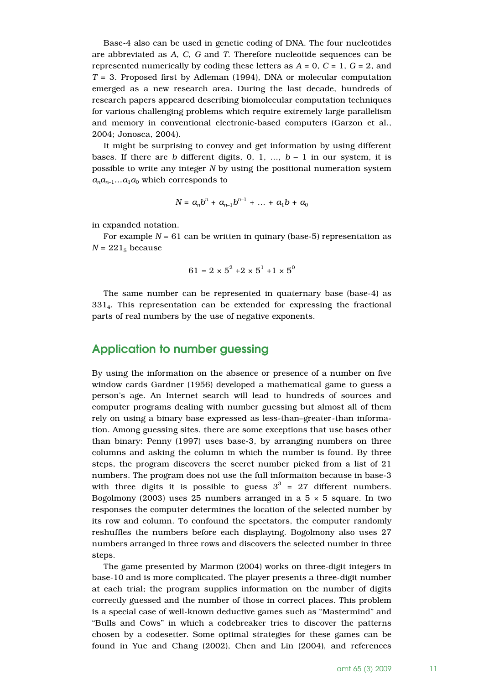Base-4 also can be used in genetic coding of DNA. The four nucleotides are abbreviated as *A*, *C*, *G* and *T*. Therefore nucleotide sequences can be represented numerically by coding these letters as  $A = 0$ ,  $C = 1$ ,  $G = 2$ , and *T* = 3. Proposed first by Adleman (1994), DNA or molecular computation emerged as a new research area. During the last decade, hundreds of research papers appeared describing biomolecular computation techniques for various challenging problems which require extremely large parallelism and memory in conventional electronic-based computers (Garzon et al., 2004; Jonosca, 2004).

It might be surprising to convey and get information by using different bases. If there are *b* different digits, 0, 1, ...,  $b-1$  in our system, it is possible to write any integer *N* by using the positional numeration system  $a_n a_{n-1} \dots a_1 a_0$  which corresponds to

$$
N = a_n b^n + a_{n-1} b^{n-1} + \dots + a_1 b + a_0
$$

in expanded notation.

For example  $N = 61$  can be written in quinary (base-5) representation as  $N = 221<sub>5</sub>$  because

$$
61 = 2 \times 5^2 + 2 \times 5^1 + 1 \times 5^0
$$

The same number can be represented in quaternary base (base-4) as 3314. This representation can be extended for expressing the fractional parts of real numbers by the use of negative exponents.

#### **Application to number guessing**

By using the information on the absence or presence of a number on five window cards Gardner (1956) developed a mathematical game to guess a person's age. An Internet search will lead to hundreds of sources and computer programs dealing with number guessing but almost all of them rely on using a binary base expressed as less-than–greater-than information. Among guessing sites, there are some exceptions that use bases other than binary: Penny (1997) uses base-3, by arranging numbers on three columns and asking the column in which the number is found. By three steps, the program discovers the secret number picked from a list of 21 numbers. The program does not use the full information because in base-3 with three digits it is possible to guess  $3^3$  = 27 different numbers. Bogolmony (2003) uses 25 numbers arranged in a  $5 \times 5$  square. In two responses the computer determines the location of the selected number by its row and column. To confound the spectators, the computer randomly reshuffles the numbers before each displaying. Bogolmony also uses 27 numbers arranged in three rows and discovers the selected number in three steps.

The game presented by Marmon (2004) works on three-digit integers in base-10 and is more complicated. The player presents a three-digit number at each trial; the program supplies information on the number of digits correctly guessed and the number of those in correct places. This problem is a special case of well-known deductive games such as "Mastermind" and "Bulls and Cows" in which a codebreaker tries to discover the patterns chosen by a codesetter. Some optimal strategies for these games can be found in Yue and Chang (2002), Chen and Lin (2004), and references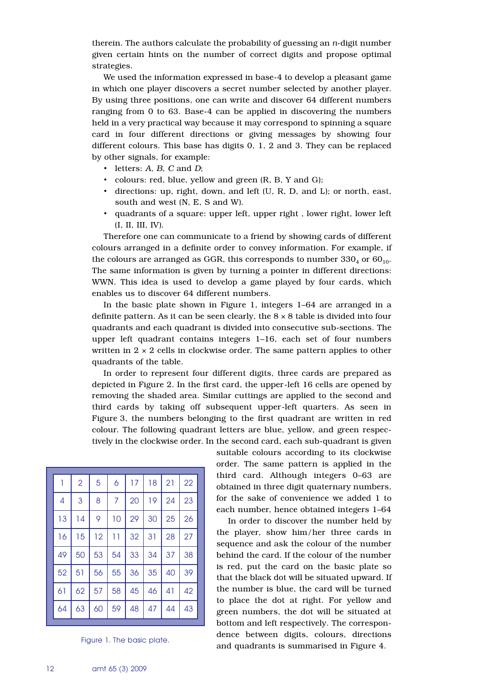therein. The authors calculate the probability of guessing an *n*-digit number given certain hints on the number of correct digits and propose optimal strategies.

We used the information expressed in base-4 to develop a pleasant game in which one player discovers a secret number selected by another player. By using three positions, one can write and discover 64 different numbers ranging from 0 to 63. Base-4 can be applied in discovering the numbers held in a very practical way because it may correspond to spinning a square card in four different directions or giving messages by showing four different colours. This base has digits 0, 1, 2 and 3. They can be replaced by other signals, for example:

- letters: *A*, *B*, *C* and *D*;
- colours: red, blue, yellow and green (R, B, Y and G);
- directions: up, right, down, and left (U, R, D, and L); or north, east, south and west (N, E, S and W).
- quadrants of a square: upper left, upper right , lower right, lower left (I, II, III, IV).

Therefore one can communicate to a friend by showing cards of different colours arranged in a definite order to convey information. For example, if the colours are arranged as GGR, this corresponds to number  $330<sub>4</sub>$  or  $60<sub>10</sub>$ . The same information is given by turning a pointer in different directions: WWN. This idea is used to develop a game played by four cards, which enables us to discover 64 different numbers.

In the basic plate shown in Figure 1, integers 1–64 are arranged in a definite pattern. As it can be seen clearly, the  $8 \times 8$  table is divided into four quadrants and each quadrant is divided into consecutive sub-sections. The upper left quadrant contains integers 1–16, each set of four numbers written in  $2 \times 2$  cells in clockwise order. The same pattern applies to other quadrants of the table.

In order to represent four different digits, three cards are prepared as depicted in Figure 2. In the first card, the upper-left 16 cells are opened by removing the shaded area. Similar cuttings are applied to the second and third cards by taking off subsequent upper-left quarters. As seen in Figure 3, the numbers belonging to the first quadrant are written in red colour. The following quadrant letters are blue, yellow, and green respectively in the clockwise order. In the second card, each sub-quadrant is given

| 1  | $\overline{2}$ | 5  | 6  | 17 | 18 | 21 | 22 |
|----|----------------|----|----|----|----|----|----|
| 4  | 3              | 8  | 7  | 20 | 19 | 24 | 23 |
| 13 | 14             | 9  | 10 | 29 | 30 | 25 | 26 |
| 16 | 15             | 12 | 11 | 32 | 31 | 28 | 27 |
| 49 | 50             | 53 | 54 | 33 | 34 | 37 | 38 |
| 52 | 51             | 56 | 55 | 36 | 35 | 40 | 39 |
| 61 | 62             | 57 | 58 | 45 | 46 | 41 | 42 |
| 64 | 63             | 60 | 59 | 48 | 47 | 44 | 43 |

Figure 1. The basic plate.

suitable colours according to its clockwise order. The same pattern is applied in the third card. Although integers 0–63 are obtained in three digit quaternary numbers, for the sake of convenience we added 1 to each number, hence obtained integers 1–64

In order to discover the number held by the player, show him/her three cards in sequence and ask the colour of the number behind the card. If the colour of the number is red, put the card on the basic plate so that the black dot will be situated upward. If the number is blue, the card will be turned to place the dot at right. For yellow and green numbers, the dot will be situated at bottom and left respectively. The correspondence between digits, colours, directions and quadrants is summarised in Figure 4.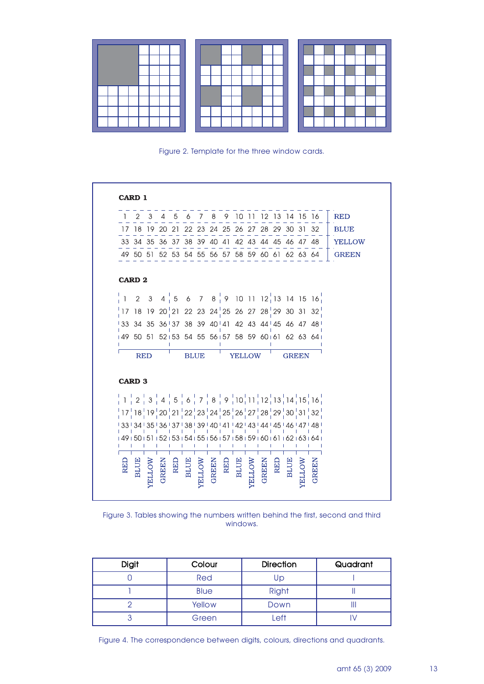

Figure 2. Template for the three window cards.

|     | CARD 1                                                                                                                                                                                                                                                                                        |       |              |             |               |       |             |               |              |       |            |              |                                      |               |
|-----|-----------------------------------------------------------------------------------------------------------------------------------------------------------------------------------------------------------------------------------------------------------------------------------------------|-------|--------------|-------------|---------------|-------|-------------|---------------|--------------|-------|------------|--------------|--------------------------------------|---------------|
|     |                                                                                                                                                                                                                                                                                               |       |              |             |               |       |             |               |              |       |            |              | 2 3 4 5 6 7 8 9 10 11 12 13 14 15 16 | <b>RED</b>    |
|     | 17 18 19 20 21 22 23 24 25 26 27 28 29 30 31 32                                                                                                                                                                                                                                               |       |              |             |               |       |             |               |              |       |            |              |                                      | <b>BLUE</b>   |
|     | 33 34 35 36 37 38 39 40 41 42 43 44 45 46 47 48                                                                                                                                                                                                                                               |       |              |             |               |       |             |               |              |       |            |              |                                      | <b>YELLOW</b> |
|     | 49 50 51 52 53 54 55 56 57 58 59 60 61 62 63 64                                                                                                                                                                                                                                               |       |              |             |               |       |             |               |              |       |            |              |                                      | <b>GREEN</b>  |
|     | <b>CARD 2</b>                                                                                                                                                                                                                                                                                 |       |              |             |               |       |             |               |              |       |            |              |                                      |               |
|     | $\begin{pmatrix} 1 & 2 & 3 & 4 & 5 & 6 & 7 & 8 & 9 & 10 & 11 & 12 & 13 & 14 & 15 & 16 \ 1 & 1 & 2 & 3 & 4 & 5 & 6 & 7 & 8 & 9 & 10 & 11 & 12 & 13 & 14 & 15 & 16 \ \end{pmatrix}$                                                                                                             |       |              |             |               |       |             |               |              |       |            |              |                                      |               |
|     | $\frac{1}{2}$ 17 18 19 20 $\frac{1}{2}$ 1 22 23 24 $\frac{1}{2}$ 5 26 27 28 $\frac{1}{2}$ 29 30 31 32 $\frac{1}{2}$                                                                                                                                                                           |       |              |             |               |       |             |               |              |       |            |              |                                      |               |
|     | 133 34 35 36 137 38 39 40 41 42 43 44 45 46 47 48                                                                                                                                                                                                                                             |       |              |             |               |       |             |               |              |       |            |              |                                      |               |
|     | 149 50 51 52 53 54 55 56 57 58 59 60 61 62 63 64                                                                                                                                                                                                                                              |       |              |             |               |       |             |               |              |       |            |              |                                      |               |
|     | <b>RED</b>                                                                                                                                                                                                                                                                                    |       |              | <b>BLUE</b> |               |       |             | <b>YELLOW</b> |              |       |            | <b>GREEN</b> |                                      |               |
|     | <b>CARD 3</b>                                                                                                                                                                                                                                                                                 |       |              |             |               |       |             |               |              |       |            |              |                                      |               |
|     | $\frac{1}{2}$ 1 $\frac{1}{2}$ 2 $\frac{1}{3}$ 3 $\frac{1}{4}$ 4 $\frac{1}{5}$ 5 $\frac{1}{6}$ 6 $\frac{1}{1}$ 7 $\frac{1}{1}$ 8 $\frac{1}{3}$ 9 $\frac{1}{1}$ 10 $\frac{1}{1}$ 11 $\frac{1}{1}$ 12 $\frac{1}{1}$ 13 $\frac{1}{1}$ 14 $\frac{1}{1}$ 15 $\frac{1}{1}$ 16 $\frac{1}{1}$          |       |              |             |               |       |             |               |              |       |            |              |                                      |               |
|     | $\frac{1}{2}$ 17 $\frac{1}{2}$ 18 $\frac{1}{2}$ 19 $\frac{1}{2}$ 20 $\frac{1}{2}$ 21 $\frac{1}{2}$ 22 $\frac{1}{2}$ 23 $\frac{1}{2}$ 24 $\frac{1}{2}$ 25 $\frac{1}{2}$ 26 $\frac{1}{2}$ 27 $\frac{1}{2}$ 28 $\frac{1}{2}$ 29 $\frac{1}{2}$ 30 $\frac{1}{2}$ 31 $\frac{1}{2}$ 32 $\frac{1}{2}$ |       |              |             |               |       |             |               |              |       |            |              |                                      |               |
|     | 1331341351361371381391401411421431441451461471481                                                                                                                                                                                                                                             |       |              |             |               |       |             |               |              |       |            |              |                                      |               |
|     | .<br>149 150 151 152 153 154 155 156 157 158 159 160 161 162 163 164 1                                                                                                                                                                                                                        |       | $\mathbf{I}$ | -1          |               |       |             |               |              |       |            |              | -1                                   |               |
| REI |                                                                                                                                                                                                                                                                                               | GREEN | <b>RED</b>   |             | BLUE<br>ELLOW | GREEN | RED<br>BLUE |               | <b>ELLOW</b> | GREEN | <b>REL</b> | <b>BLUE</b>  | GREEN                                |               |

Figure 3. Tables showing the numbers written behind the first, second and third windows.

| <b>Digit</b> | Colour      | <b>Direction</b> | Quadrant |  |  |
|--------------|-------------|------------------|----------|--|--|
|              | Red         | Up               |          |  |  |
|              | <b>Blue</b> | <b>Right</b>     |          |  |  |
|              | Yellow      | Down             |          |  |  |
|              | Green       | Left             |          |  |  |

Figure 4. The correspondence between digits, colours, directions and quadrants.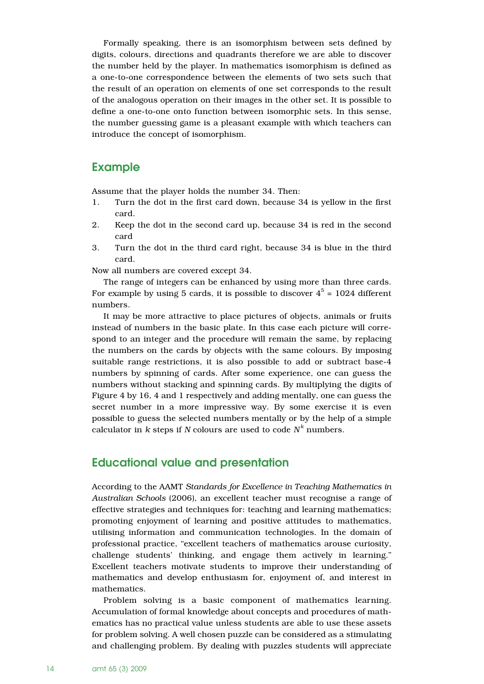Formally speaking, there is an isomorphism between sets defined by digits, colours, directions and quadrants therefore we are able to discover the number held by the player. In mathematics isomorphism is defined as a one-to-one correspondence between the elements of two sets such that the result of an operation on elements of one set corresponds to the result of the analogous operation on their images in the other set. It is possible to define a one-to-one onto function between isomorphic sets. In this sense, the number guessing game is a pleasant example with which teachers can introduce the concept of isomorphism.

## **Example**

Assume that the player holds the number 34. Then:

- 1. Turn the dot in the first card down, because 34 is yellow in the first card.
- 2. Keep the dot in the second card up, because 34 is red in the second card
- 3. Turn the dot in the third card right, because 34 is blue in the third card.

Now all numbers are covered except 34.

The range of integers can be enhanced by using more than three cards. For example by using 5 cards, it is possible to discover  $4^5$  = 1024 different numbers.

It may be more attractive to place pictures of objects, animals or fruits instead of numbers in the basic plate. In this case each picture will correspond to an integer and the procedure will remain the same, by replacing the numbers on the cards by objects with the same colours. By imposing suitable range restrictions, it is also possible to add or subtract base-4 numbers by spinning of cards. After some experience, one can guess the numbers without stacking and spinning cards. By multiplying the digits of Figure 4 by 16, 4 and 1 respectively and adding mentally, one can guess the secret number in a more impressive way. By some exercise it is even possible to guess the selected numbers mentally or by the help of a simple calculator in *k* steps if *N* colours are used to code  $N^k$  numbers.

### **Educational value and presentation**

According to the AAMT *Standards for Excellence in Teaching Mathematics in Australian Schools* (2006), an excellent teacher must recognise a range of effective strategies and techniques for: teaching and learning mathematics; promoting enjoyment of learning and positive attitudes to mathematics, utilising information and communication technologies. In the domain of professional practice, "excellent teachers of mathematics arouse curiosity, challenge students' thinking, and engage them actively in learning." Excellent teachers motivate students to improve their understanding of mathematics and develop enthusiasm for, enjoyment of, and interest in mathematics.

Problem solving is a basic component of mathematics learning. Accumulation of formal knowledge about concepts and procedures of mathematics has no practical value unless students are able to use these assets for problem solving. A well chosen puzzle can be considered as a stimulating and challenging problem. By dealing with puzzles students will appreciate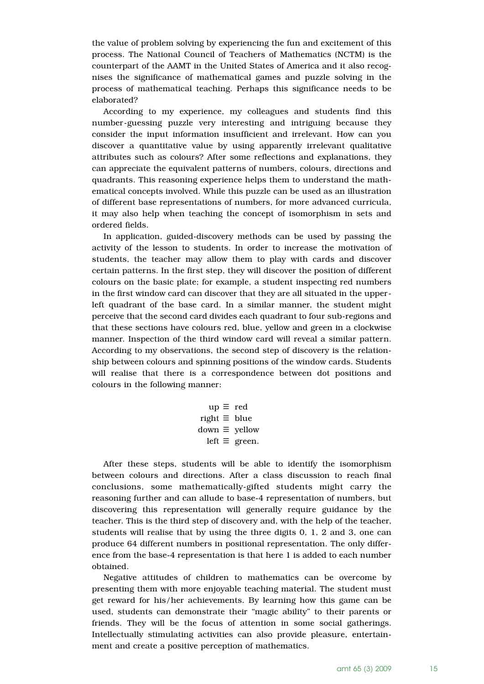the value of problem solving by experiencing the fun and excitement of this process. The National Council of Teachers of Mathematics (NCTM) is the counterpart of the AAMT in the United States of America and it also recognises the significance of mathematical games and puzzle solving in the process of mathematical teaching. Perhaps this significance needs to be elaborated?

According to my experience, my colleagues and students find this number-guessing puzzle very interesting and intriguing because they consider the input information insufficient and irrelevant. How can you discover a quantitative value by using apparently irrelevant qualitative attributes such as colours? After some reflections and explanations, they can appreciate the equivalent patterns of numbers, colours, directions and quadrants. This reasoning experience helps them to understand the mathematical concepts involved. While this puzzle can be used as an illustration of different base representations of numbers, for more advanced curricula, it may also help when teaching the concept of isomorphism in sets and ordered fields.

In application, guided-discovery methods can be used by passing the activity of the lesson to students. In order to increase the motivation of students, the teacher may allow them to play with cards and discover certain patterns. In the first step, they will discover the position of different colours on the basic plate; for example, a student inspecting red numbers in the first window card can discover that they are all situated in the upperleft quadrant of the base card. In a similar manner, the student might perceive that the second card divides each quadrant to four sub-regions and that these sections have colours red, blue, yellow and green in a clockwise manner. Inspection of the third window card will reveal a similar pattern. According to my observations, the second step of discovery is the relationship between colours and spinning positions of the window cards. Students will realise that there is a correspondence between dot positions and colours in the following manner:

$$
up \equiv red
$$
  
right 
$$
\equiv blue
$$
  
down 
$$
\equiv yellow
$$
  
left 
$$
\equiv green.
$$

After these steps, students will be able to identify the isomorphism between colours and directions. After a class discussion to reach final conclusions, some mathematically-gifted students might carry the reasoning further and can allude to base-4 representation of numbers, but discovering this representation will generally require guidance by the teacher. This is the third step of discovery and, with the help of the teacher, students will realise that by using the three digits 0, 1, 2 and 3, one can produce 64 different numbers in positional representation. The only difference from the base-4 representation is that here 1 is added to each number obtained.

Negative attitudes of children to mathematics can be overcome by presenting them with more enjoyable teaching material. The student must get reward for his/her achievements. By learning how this game can be used, students can demonstrate their "magic ability" to their parents or friends. They will be the focus of attention in some social gatherings. Intellectually stimulating activities can also provide pleasure, entertainment and create a positive perception of mathematics.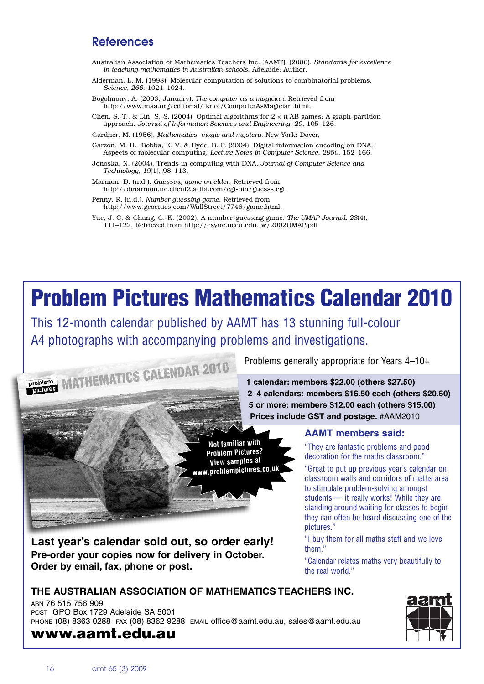# **References**

- Australian Association of Mathematics Teachers Inc. [AAMT]. (2006). *Standards for excellence in teaching mathematics in Australian schools*. Adelaide: Author.
- Alderman, L. M. (1998). Molecular computation of solutions to combinatorial problems. *Science, 266*, 1021–1024.
- Bogolmony, A. (2003, January). *The computer as a magician.* Retrieved from http://www.maa.org/editorial/ knot/ComputerAsMagician.html.
- Chen, S.-T., & Lin, S.-S. (2004). Optimal algorithms for 2 × *n* AB games: A graph-partition approach. *Journal of Information Sciences and Engineering, 20*, 105–126.

Gardner, M. (1956). *Mathematics, magic and mystery*. New York: Dover,

- Garzon, M. H., Bobba, K. V. & Hyde, B. P. (2004). Digital information encoding on DNA: Aspects of molecular computing. *Lecture Notes in Computer Science, 2950*, 152–166.
- Jonoska, N. (2004). Trends in computing with DNA. *Journal of Computer Science and Technology, 19*(1), 98–113.
- Marmon, D. (n.d.). *Guessing game on elder*. Retrieved from http://dmarmon.ne.client2.attbi.com/cgi-bin/guesss.cgi.
- Penny, R. (n.d.). *Number guessing game*. Retrieved from http://www.geocities.com/WallStreet/7746/game.html.
- Yue, J. C. & Chang, C.-K. (2002). A number-guessing game. *The UMAP Journal, 23*(4), 111–122. Retrieved from http://csyue.nccu.edu.tw/2002UMAP.pdf

# **Problem Pictures Mathematics Calendar 2010**

This 12-month calendar published by AAMT has 13 stunning full-colour A4 photographs with accompanying problems and investigations.



Problems generally appropriate for Years 4–10+

**1 calendar: members \$22.00 (others \$27.50) 2–4 calendars: members \$16.50 each (others \$20.60) 5 or more: members \$12.00 each (others \$15.00) Prices include GST and postage.** #AAM2010

**Not familiar with Problem Pictures? View samples at www.problempictures.co.u<sup>k</sup>**

**Last year's calendar sold out, so order early! Pre-order your copies now for delivery in October. Order by email, fax, phone or post.**

#### **AAMT members said:**

"They are fantastic problems and good decoration for the maths classroom."

"Great to put up previous year's calendar on classroom walls and corridors of maths area to stimulate problem-solving amongst students — it really works! While they are standing around waiting for classes to begin they can often be heard discussing one of the pictures."

"I buy them for all maths staff and we love them."

"Calendar relates maths very beautifully to the real world."

#### **THE AUSTRALIAN ASSOCIATION OF MATHEMATICS TEACHERS INC.**

ABN 76 515 756 909 POST GPO Box 1729 Adelaide SA 5001 PHONE (08) 8363 0288 FAX (08) 8362 9288 EMAIL office@aamt.edu.au, sales@aamt.edu.au

# **www.aamt.edu.au**